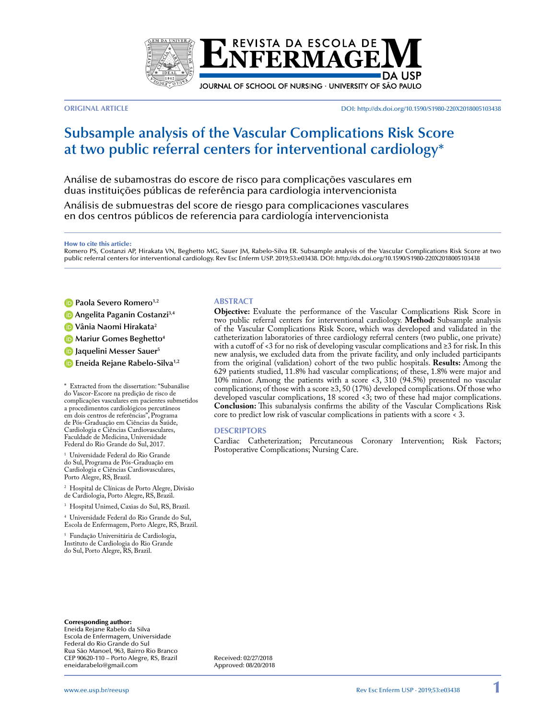

**ORIGINAL ARTICLE** DOI: http://dx.doi.org/10.1590/S1980-220X2018005103438

# **Subsample analysis of the Vascular Complications Risk Score at two public referral centers for interventional cardiology\***

Análise de subamostras do escore de risco para complicações vasculares em duas instituições públicas de referência para cardiologia intervencionista

Análisis de submuestras del score de riesgo para complicaciones vasculares en dos centros públicos de referencia para cardiología intervencionista

How to cite this article:

Romero PS, Costanzi AP, Hirakata VN, Beghetto MG, Sauer JM, Rabelo-Silva ER. Subsample analysis of the Vascular Complications Risk Score at two public referral centers for interventional cardiology. Rev Esc Enferm USP. 2019;53:e03438. DOI: http://dx.doi.org/10.1590/S1980-220X2018005103438

- **Paola Severo Romero<sup>1,2</sup>**
- **[Angelita Paganin Costanzi3,](https://orcid.org/0000-0002-9727-2429)4**
- **[Vânia Naomi Hirakata2](https://orcid.org/0000-0003-4645-2080)**
- *Mariur Gomes Beghetto<sup>4</sup>*
- *D* Jaquelini Messer Sauer<sup>5</sup>

**ID** Eneida Rejane Rabelo-Silva<sup>1,2</sup>

\* Extracted from the dissertation: "Subanálise do Vascor-Escore na predição de risco de complicações vasculares em pacientes submetidos a procedimentos cardiológicos percutâneos em dois centros de referências", Programa de Pós-Graduação em Ciências da Saúde, Cardiologia e Ciências Cardiovasculares, Faculdade de Medicina, Universidade Federal do Rio Grande do Sul, 2017.

<sup>1</sup> Universidade Federal do Rio Grande do Sul, Programa de Pós-Graduação em Cardiologia e Ciências Cardiovasculares, Porto Alegre, RS, Brazil.

<sup>2</sup> Hospital de Clínicas de Porto Alegre, Divisão de Cardiologia, Porto Alegre, RS, Brazil.

<sup>3</sup> Hospital Unimed, Caxias do Sul, RS, Brazil.

<sup>4</sup> Universidade Federal do Rio Grande do Sul, Escola de Enfermagem, Porto Alegre, RS, Brazil.

<sup>5</sup> Fundação Universitária de Cardiologia, Instituto de Cardiologia do Rio Grande do Sul, Porto Alegre, RS, Brazil.

# **ABSTRACT**

**Objective:** Evaluate the performance of the Vascular Complications Risk Score in two public referral centers for interventional cardiology. **Method:** Subsample analysis of the Vascular Complications Risk Score, which was developed and validated in the catheterization laboratories of three cardiology referral centers (two public, one private) with a cutoff of <3 for no risk of developing vascular complications and ≥3 for risk. In this new analysis, we excluded data from the private facility, and only included participants from the original (validation) cohort of the two public hospitals. **Results:** Among the 629 patients studied, 11.8% had vascular complications; of these, 1.8% were major and 10% minor. Among the patients with a score <3, 310 (94.5%) presented no vascular complications; of those with a score ≥3, 50 (17%) developed complications. Of those who developed vascular complications, 18 scored <3; two of these had major complications. Conclusion: This subanalysis confirms the ability of the Vascular Complications Risk core to predict low risk of vascular complications in patients with a score < 3.

### **DESCRIPTORS**

Cardiac Catheterization; Percutaneous Coronary Intervention; Risk Factors; Postoperative Complications; Nursing Care.

Corresponding author: Eneida Rejane Rabelo da Silva Escola de Enfermagem, Universidade Federal do Rio Grande do Sul Rua São Manoel, 963, Bairro Rio Branco CEP 90620-110 – Porto Alegre, RS, Brazil eneidarabelo@gmail.com

Received: 02/27/2018 Approved: 08/20/2018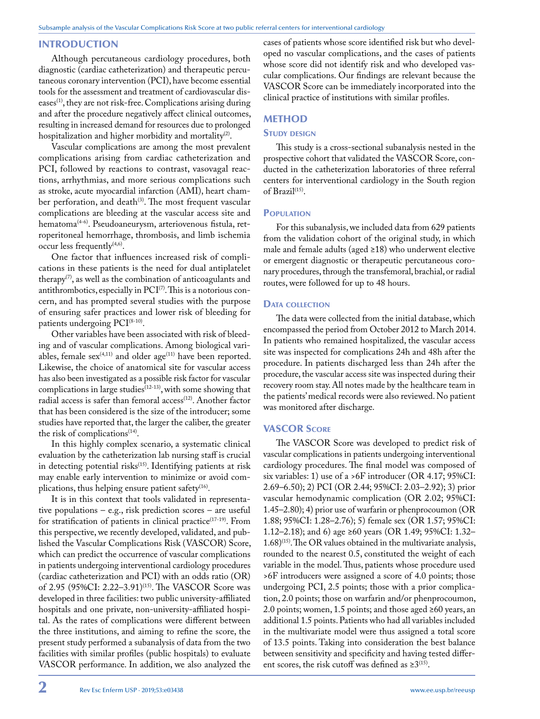# INTRODUCTION

Although percutaneous cardiology procedures, both diagnostic (cardiac catheterization) and therapeutic percutaneous coronary intervention (PCI), have become essential tools for the assessment and treatment of cardiovascular diseases<sup> $(1)$ </sup>, they are not risk-free. Complications arising during and after the procedure negatively affect clinical outcomes, resulting in increased demand for resources due to prolonged hospitalization and higher morbidity and mortality<sup>(2)</sup>.

Vascular complications are among the most prevalent complications arising from cardiac catheterization and PCI, followed by reactions to contrast, vasovagal reactions, arrhythmias, and more serious complications such as stroke, acute myocardial infarction (AMI), heart chamber perforation, and death<sup>(3)</sup>. The most frequent vascular complications are bleeding at the vascular access site and hematoma(4-6). Pseudoaneurysm, arteriovenous fistula, retroperitoneal hemorrhage, thrombosis, and limb ischemia occur less frequently $(4,6)$ .

One factor that influences increased risk of complications in these patients is the need for dual antiplatelet therapy<sup> $(7)$ </sup>, as well as the combination of anticoagulants and antithrombotics, especially in PCI<sup>(7)</sup>. This is a notorious concern, and has prompted several studies with the purpose of ensuring safer practices and lower risk of bleeding for patients undergoing PCI<sup>(8-10)</sup>.

Other variables have been associated with risk of bleeding and of vascular complications. Among biological variables, female  $sex^{(4,11)}$  and older  $age^{(11)}$  have been reported. Likewise, the choice of anatomical site for vascular access has also been investigated as a possible risk factor for vascular complications in large studies<sup> $(12-13)$ </sup>, with some showing that radial access is safer than femoral access<sup>(12)</sup>. Another factor that has been considered is the size of the introducer; some studies have reported that, the larger the caliber, the greater the risk of complications<sup>(14)</sup>.

In this highly complex scenario, a systematic clinical evaluation by the catheterization lab nursing staff is crucial in detecting potential risks<sup>(15)</sup>. Identifying patients at risk may enable early intervention to minimize or avoid complications, thus helping ensure patient safety $(16)$ .

It is in this context that tools validated in representative populations – e.g., risk prediction scores – are useful for stratification of patients in clinical practice<sup> $(17-19)$ </sup>. From this perspective, we recently developed, validated, and published the Vascular Complications Risk (VASCOR) Score, which can predict the occurrence of vascular complications in patients undergoing interventional cardiology procedures (cardiac catheterization and PCI) with an odds ratio (OR) of 2.95 (95%CI: 2.22–3.91)<sup>(15)</sup>. The VASCOR Score was developed in three facilities: two public university-affiliated hospitals and one private, non-university-affiliated hospital. As the rates of complications were different between the three institutions, and aiming to refine the score, the present study performed a subanalysis of data from the two facilities with similar profiles (public hospitals) to evaluate VASCOR performance. In addition, we also analyzed the

cases of patients whose score identified risk but who developed no vascular complications, and the cases of patients whose score did not identify risk and who developed vascular complications. Our findings are relevant because the VASCOR Score can be immediately incorporated into the clinical practice of institutions with similar profiles.

# METHOD

# **STUDY DESIGN**

This study is a cross-sectional subanalysis nested in the prospective cohort that validated the VASCOR Score, conducted in the catheterization laboratories of three referral centers for interventional cardiology in the South region of Brazil<sup>(15)</sup>.

# **POPULATION**

For this subanalysis, we included data from 629 patients from the validation cohort of the original study, in which male and female adults (aged ≥18) who underwent elective or emergent diagnostic or therapeutic percutaneous coronary procedures, through the transfemoral, brachial, or radial routes, were followed for up to 48 hours.

# DATA COLLECTION

The data were collected from the initial database, which encompassed the period from October 2012 to March 2014. In patients who remained hospitalized, the vascular access site was inspected for complications 24h and 48h after the procedure. In patients discharged less than 24h after the procedure, the vascular access site was inspected during their recovery room stay. All notes made by the healthcare team in the patients' medical records were also reviewed. No patient was monitored after discharge.

## **VASCOR SCORE**

The VASCOR Score was developed to predict risk of vascular complications in patients undergoing interventional cardiology procedures. The final model was composed of six variables: 1) use of a >6F introducer (OR 4.17; 95%CI: 2.69–6.50); 2) PCI (OR 2.44; 95%CI: 2.03–2.92); 3) prior vascular hemodynamic complication (OR 2.02; 95%CI: 1.45–2.80); 4) prior use of warfarin or phenprocoumon (OR 1.88; 95%CI: 1.28–2.76); 5) female sex (OR 1.57; 95%CI: 1.12–2.18); and 6) age ≥60 years (OR 1.49; 95%CI: 1.32– 1.68)(15). The OR values obtained in the multivariate analysis, rounded to the nearest 0.5, constituted the weight of each variable in the model. Thus, patients whose procedure used >6F introducers were assigned a score of 4.0 points; those undergoing PCI, 2.5 points; those with a prior complication, 2.0 points; those on warfarin and/or phenprocoumon, 2.0 points; women, 1.5 points; and those aged ≥60 years, an additional 1.5 points. Patients who had all variables included in the multivariate model were thus assigned a total score of 13.5 points. Taking into consideration the best balance between sensitivity and specificity and having tested different scores, the risk cutoff was defined as  $\geq 3^{(15)}$ .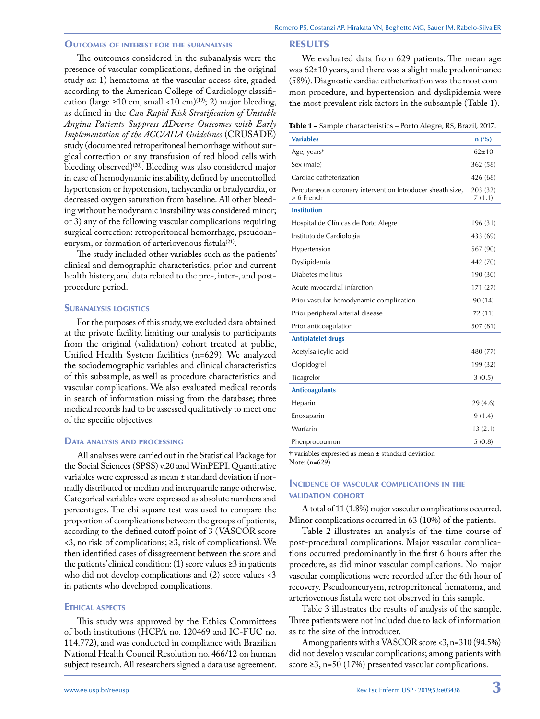## Outcomes of interest for the subanalysis

The outcomes considered in the subanalysis were the presence of vascular complications, defined in the original study as: 1) hematoma at the vascular access site, graded according to the American College of Cardiology classification (large ≥10 cm, small <10 cm)<sup>(19)</sup>; 2) major bleeding, as defined in the *Can Rapid Risk Stratification of Unstable Angina Patients Suppress ADverse Outcomes with Early Implementation of the ACC/AHA Guidelines* (CRUSADE) study (documented retroperitoneal hemorrhage without surgical correction or any transfusion of red blood cells with bleeding observed)<sup>(20)</sup>. Bleeding was also considered major in case of hemodynamic instability, defined by uncontrolled hypertension or hypotension, tachycardia or bradycardia, or decreased oxygen saturation from baseline. All other bleeding without hemodynamic instability was considered minor; or 3) any of the following vascular complications requiring surgical correction: retroperitoneal hemorrhage, pseudoaneurysm, or formation of arteriovenous fistula<sup>(21)</sup>.

The study included other variables such as the patients' clinical and demographic characteristics, prior and current health history, and data related to the pre-, inter-, and postprocedure period.

#### Subanalysis logistics

For the purposes of this study, we excluded data obtained at the private facility, limiting our analysis to participants from the original (validation) cohort treated at public, Unified Health System facilities (n=629). We analyzed the sociodemographic variables and clinical characteristics of this subsample, as well as procedure characteristics and vascular complications. We also evaluated medical records in search of information missing from the database; three medical records had to be assessed qualitatively to meet one of the specific objectives.

## Data analysis and processing

All analyses were carried out in the Statistical Package for the Social Sciences (SPSS) v.20 and WinPEPI. Quantitative variables were expressed as mean ± standard deviation if normally distributed or median and interquartile range otherwise. Categorical variables were expressed as absolute numbers and percentages. The chi-square test was used to compare the proportion of complications between the groups of patients, according to the defined cutoff point of 3 (VASCOR score <3, no risk of complications; ≥3, risk of complications). We then identified cases of disagreement between the score and the patients' clinical condition:  $(1)$  score values  $\geq 3$  in patients who did not develop complications and (2) score values <3 in patients who developed complications.

#### Ethical aspects

This study was approved by the Ethics Committees of both institutions (HCPA no. 120469 and IC-FUC no. 114.772), and was conducted in compliance with Brazilian National Health Council Resolution no. 466/12 on human subject research. All researchers signed a data use agreement.

## RESULTS

We evaluated data from 629 patients. The mean age was 62±10 years, and there was a slight male predominance (58%). Diagnostic cardiac catheterization was the most common procedure, and hypertension and dyslipidemia were the most prevalent risk factors in the subsample (Table 1).

| Table 1 - Sample characteristics - Porto Alegre, RS, Brazil, 2017. |  |  |  |  |  |  |  |
|--------------------------------------------------------------------|--|--|--|--|--|--|--|
|--------------------------------------------------------------------|--|--|--|--|--|--|--|

| <b>Variables</b>                                                         | n(%)               |
|--------------------------------------------------------------------------|--------------------|
| Age, years <sup>+</sup>                                                  | $62 \pm 10$        |
| Sex (male)                                                               | 362 (58)           |
| Cardiac catheterization                                                  | 426 (68)           |
| Percutaneous coronary intervention Introducer sheath size,<br>> 6 French | 203 (32)<br>7(1.1) |
| <b>Institution</b>                                                       |                    |
| Hospital de Clínicas de Porto Alegre                                     | 196 (31)           |
| Instituto de Cardiologia                                                 | 433 (69)           |
| Hypertension                                                             | 567 (90)           |
| Dyslipidemia                                                             | 442 (70)           |
| Diabetes mellitus                                                        | 190 (30)           |
| Acute myocardial infarction                                              | 171 (27)           |
| Prior vascular hemodynamic complication                                  | 90 (14)            |
| Prior peripheral arterial disease                                        | 72 (11)            |
| Prior anticoagulation                                                    | 507 (81)           |
| <b>Antiplatelet drugs</b>                                                |                    |
| Acetylsalicylic acid                                                     | 480 (77)           |
| Clopidogrel                                                              | 199 (32)           |
| Ticagrelor                                                               | 3(0.5)             |
| <b>Anticoagulants</b>                                                    |                    |
| Heparin                                                                  | 29 (4.6)           |
| Enoxaparin                                                               | 9(1.4)             |
| Warfarin                                                                 | 13(2.1)            |
| Phenprocoumon                                                            | 5(0.8)             |

† variables expressed as mean ± standard deviation Note: (n=629)

# Incidence of vascular complications in the validation cohort

A total of 11 (1.8%) major vascular complications occurred. Minor complications occurred in 63 (10%) of the patients.

Table 2 illustrates an analysis of the time course of post-procedural complications. Major vascular complications occurred predominantly in the first 6 hours after the procedure, as did minor vascular complications. No major vascular complications were recorded after the 6th hour of recovery. Pseudoaneurysm, retroperitoneal hematoma, and arteriovenous fistula were not observed in this sample.

Table 3 illustrates the results of analysis of the sample. Three patients were not included due to lack of information as to the size of the introducer.

Among patients with a VASCOR score <3, n=310 (94.5%) did not develop vascular complications; among patients with score ≥3, n=50 (17%) presented vascular complications.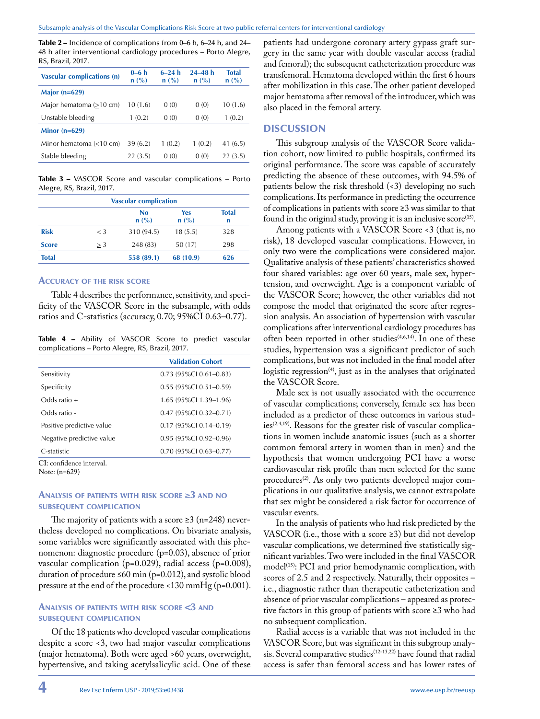Table 2 – Incidence of complications from 0–6 h, 6–24 h, and 24– 48 h after interventional cardiology procedures – Porto Alegre, RS, Brazil, 2017.

| Vascular complications (n) | $0-6h$<br>n (%) | $6 - 24 h$<br>$n$ (%) | $24 - 48 h$<br>n (%) | Total<br>n (%) |
|----------------------------|-----------------|-----------------------|----------------------|----------------|
| Major $(n=629)$            |                 |                       |                      |                |
| Major hematoma (>10 cm)    | 10(1.6)         | 0(0)                  | 0(0)                 | 10 (1.6)       |
| Unstable bleeding          | 1(0.2)          | 0(0)                  | 0(0)                 | 1(0.2)         |
| Minor $(n=629)$            |                 |                       |                      |                |
| Minor hematoma (<10 cm)    | 39 (6.2)        | 1(0.2)                | 1(0.2)               | 41(6.5)        |
| Stable bleeding            | 22(3.5)         | (0)                   | 0(0)                 | 22(3.5)        |

Table 3 – VASCOR Score and vascular complications – Porto Alegre, RS, Brazil, 2017.

| <b>Vascular complication</b> |          |             |                     |                   |
|------------------------------|----------|-------------|---------------------|-------------------|
|                              |          | No<br>n (%) | <b>Yes</b><br>n (%) | <b>Total</b><br>n |
| <b>Risk</b>                  | $\leq$ 3 | 310 (94.5)  | 18(5.5)             | 328               |
| <b>Score</b>                 | $>$ 3    | 248 (83)    | 50 (17)             | 298               |
| <b>Total</b>                 |          | 558 (89.1)  | 68 (10.9)           | 626               |

## Accuracy of the risk score

Table 4 describes the performance, sensitivity, and specificity of the VASCOR Score in the subsample, with odds ratios and C-statistics (accuracy, 0.70; 95%CI 0.63–0.77).

Table 4 - Ability of VASCOR Score to predict vascular complications – Porto Alegre, RS, Brazil, 2017.

|                           | <b>Validation Cohort</b>      |
|---------------------------|-------------------------------|
| Sensitivity               | $0.73$ (95%Cl 0.61-0.83)      |
| Specificity               | 0.55 (95%Cl 0.51-0.59)        |
| $O$ dds ratio +           | 1.65 (95%Cl 1.39–1.96)        |
| Odds ratio -              | $0.47$ (95%Cl $0.32 - 0.71$ ) |
| Positive predictive value | $0.17$ (95%Cl 0.14–0.19)      |
| Negative predictive value | $0.95$ (95%Cl $0.92 - 0.96$ ) |
| C-statistic               | $0.70$ (95%CI 0.63-0.77)      |
| CI: confidence interval.  |                               |

Note: (n=629)

# ANALYSIS OF PATIENTS WITH RISK SCORE  $\geq 3$  and no subsequent complication

The majority of patients with a score  $\geq 3$  (n=248) nevertheless developed no complications. On bivariate analysis, some variables were significantly associated with this phenomenon: diagnostic procedure (p=0.03), absence of prior vascular complication (p=0.029), radial access (p=0.008), duration of procedure ≤60 min (p=0.012), and systolic blood pressure at the end of the procedure <130 mmHg (p=0.001).

# Analysis of patients with risk score <3 and subsequent complication

Of the 18 patients who developed vascular complications despite a score <3, two had major vascular complications (major hematoma). Both were aged >60 years, overweight, hypertensive, and taking acetylsalicylic acid. One of these

patients had undergone coronary artery gypass graft surgery in the same year with double vascular access (radial and femoral); the subsequent catheterization procedure was transfemoral. Hematoma developed within the first 6 hours after mobilization in this case. The other patient developed major hematoma after removal of the introducer, which was also placed in the femoral artery.

# **DISCUSSION**

This subgroup analysis of the VASCOR Score validation cohort, now limited to public hospitals, confirmed its original performance. The score was capable of accurately predicting the absence of these outcomes, with 94.5% of patients below the risk threshold (<3) developing no such complications. Its performance in predicting the occurrence of complications in patients with score ≥3 was similar to that found in the original study, proving it is an inclusive score<sup>(15)</sup>.

Among patients with a VASCOR Score <3 (that is, no risk), 18 developed vascular complications. However, in only two were the complications were considered major. Qualitative analysis of these patients' characteristics showed four shared variables: age over 60 years, male sex, hypertension, and overweight. Age is a component variable of the VASCOR Score; however, the other variables did not compose the model that originated the score after regression analysis. An association of hypertension with vascular complications after interventional cardiology procedures has often been reported in other studies(4,6,14). In one of these studies, hypertension was a significant predictor of such complications, but was not included in the final model after logistic regression<sup>(4)</sup>, just as in the analyses that originated the VASCOR Score.

Male sex is not usually associated with the occurrence of vascular complications; conversely, female sex has been included as a predictor of these outcomes in various studies<sup> $(2,4,19)$ </sup>. Reasons for the greater risk of vascular complications in women include anatomic issues (such as a shorter common femoral artery in women than in men) and the hypothesis that women undergoing PCI have a worse cardiovascular risk profile than men selected for the same procedures<sup>(2)</sup>. As only two patients developed major complications in our qualitative analysis, we cannot extrapolate that sex might be considered a risk factor for occurrence of vascular events.

In the analysis of patients who had risk predicted by the VASCOR (i.e., those with a score ≥3) but did not develop vascular complications, we determined five statistically significant variables. Two were included in the final VASCOR model<sup>(15)</sup>: PCI and prior hemodynamic complication, with scores of 2.5 and 2 respectively. Naturally, their opposites – i.e., diagnostic rather than therapeutic catheterization and absence of prior vascular complications – appeared as protective factors in this group of patients with score ≥3 who had no subsequent complication.

Radial access is a variable that was not included in the VASCOR Score, but was significant in this subgroup analysis. Several comparative studies<sup>(12-13,22)</sup> have found that radial access is safer than femoral access and has lower rates of

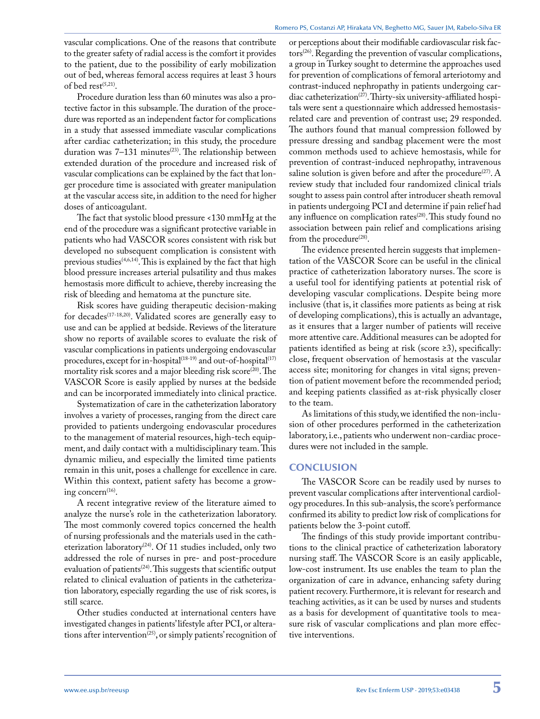vascular complications. One of the reasons that contribute to the greater safety of radial access is the comfort it provides to the patient, due to the possibility of early mobilization out of bed, whereas femoral access requires at least 3 hours of bed  $rest^{(5,21)}$ .

Procedure duration less than 60 minutes was also a protective factor in this subsample. The duration of the procedure was reported as an independent factor for complications in a study that assessed immediate vascular complications after cardiac catheterization; in this study, the procedure duration was  $7-131$  minutes<sup>(23)</sup>. The relationship between extended duration of the procedure and increased risk of vascular complications can be explained by the fact that longer procedure time is associated with greater manipulation at the vascular access site, in addition to the need for higher doses of anticoagulant.

The fact that systolic blood pressure <130 mmHg at the end of the procedure was a significant protective variable in patients who had VASCOR scores consistent with risk but developed no subsequent complication is consistent with previous studies<sup>(4,6,14)</sup>. This is explained by the fact that high blood pressure increases arterial pulsatility and thus makes hemostasis more difficult to achieve, thereby increasing the risk of bleeding and hematoma at the puncture site.

Risk scores have guiding therapeutic decision-making for decades<sup>(17-18,20)</sup>. Validated scores are generally easy to use and can be applied at bedside. Reviews of the literature show no reports of available scores to evaluate the risk of vascular complications in patients undergoing endovascular procedures, except for in-hospital<sup>(18-19)</sup> and out-of-hospital<sup>(17)</sup> mortality risk scores and a major bleeding risk score<sup>(20)</sup>. The VASCOR Score is easily applied by nurses at the bedside and can be incorporated immediately into clinical practice.

Systematization of care in the catheterization laboratory involves a variety of processes, ranging from the direct care provided to patients undergoing endovascular procedures to the management of material resources, high-tech equipment, and daily contact with a multidisciplinary team. This dynamic milieu, and especially the limited time patients remain in this unit, poses a challenge for excellence in care. Within this context, patient safety has become a growing concern $(16)$ .

A recent integrative review of the literature aimed to analyze the nurse's role in the catheterization laboratory. The most commonly covered topics concerned the health of nursing professionals and the materials used in the catheterization laboratory<sup>(24)</sup>. Of 11 studies included, only two addressed the role of nurses in pre- and post-procedure evaluation of patients<sup>(24)</sup>. This suggests that scientific output related to clinical evaluation of patients in the catheterization laboratory, especially regarding the use of risk scores, is still scarce.

Other studies conducted at international centers have investigated changes in patients' lifestyle after PCI, or alterations after intervention<sup> $(25)$ </sup>, or simply patients' recognition of or perceptions about their modifiable cardiovascular risk fac $tors<sup>(26)</sup>$ . Regarding the prevention of vascular complications, a group in Turkey sought to determine the approaches used for prevention of complications of femoral arteriotomy and contrast-induced nephropathy in patients undergoing cardiac catheterization<sup>(27)</sup>. Thirty-six university-affiliated hospitals were sent a questionnaire which addressed hemostasisrelated care and prevention of contrast use; 29 responded. The authors found that manual compression followed by pressure dressing and sandbag placement were the most common methods used to achieve hemostasis, while for prevention of contrast-induced nephropathy, intravenous saline solution is given before and after the procedure<sup>(27)</sup>. A review study that included four randomized clinical trials sought to assess pain control after introducer sheath removal in patients undergoing PCI and determine if pain relief had any influence on complication rates $(28)$ . This study found no association between pain relief and complications arising from the procedure $^{(28)}$ .

The evidence presented herein suggests that implementation of the VASCOR Score can be useful in the clinical practice of catheterization laboratory nurses. The score is a useful tool for identifying patients at potential risk of developing vascular complications. Despite being more inclusive (that is, it classifies more patients as being at risk of developing complications), this is actually an advantage, as it ensures that a larger number of patients will receive more attentive care. Additional measures can be adopted for patients identified as being at risk (score  $\geq 3$ ), specifically: close, frequent observation of hemostasis at the vascular access site; monitoring for changes in vital signs; prevention of patient movement before the recommended period; and keeping patients classified as at-risk physically closer to the team.

As limitations of this study, we identified the non-inclusion of other procedures performed in the catheterization laboratory, i.e., patients who underwent non-cardiac procedures were not included in the sample.

# **CONCLUSION**

The VASCOR Score can be readily used by nurses to prevent vascular complications after interventional cardiology procedures. In this sub-analysis, the score's performance confirmed its ability to predict low risk of complications for patients below the 3-point cutoff.

The findings of this study provide important contributions to the clinical practice of catheterization laboratory nursing staff. The VASCOR Score is an easily applicable, low-cost instrument. Its use enables the team to plan the organization of care in advance, enhancing safety during patient recovery. Furthermore, it is relevant for research and teaching activities, as it can be used by nurses and students as a basis for development of quantitative tools to measure risk of vascular complications and plan more effective interventions.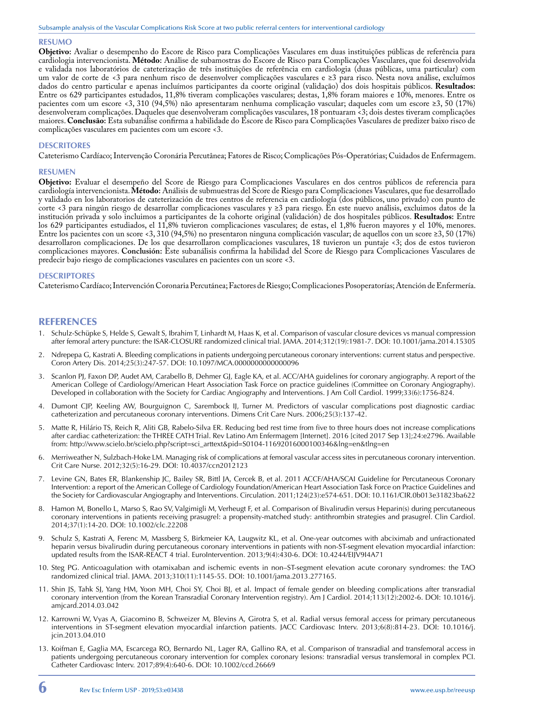## **RESUMO**

**Objetivo:** Avaliar o desempenho do Escore de Risco para Complicações Vasculares em duas instituições públicas de referência para cardiologia intervencionista. **Método:** Análise de subamostras do Escore de Risco para Complicações Vasculares, que foi desenvolvida e validada nos laboratórios de cateterização de três instituições de referência em cardiologia (duas públicas, uma particular) com um valor de corte de <3 para nenhum risco de desenvolver complicações vasculares e ≥3 para risco. Nesta nova análise, excluímos dados do centro particular e apenas incluímos participantes da coorte original (validação) dos dois hospitais públicos. **Resultados:** Entre os 629 participantes estudados, 11,8% tiveram complicações vasculares; destas, 1,8% foram maiores e 10%, menores. Entre os pacientes com um escore <3, 310 (94,5%) não apresentaram nenhuma complicação vascular; daqueles com um escore ≥3, 50 (17%) desenvolveram complicações. Daqueles que desenvolveram complicações vasculares, 18 pontuaram <3; dois destes tiveram complicações maiores. **Conclusão:** Esta subanálise confirma a habilidade do Escore de Risco para Complicações Vasculares de predizer baixo risco de complicações vasculares em pacientes com um escore <3.

#### **DESCRITORES**

Cateterismo Cardíaco; Intervenção Coronária Percutânea; Fatores de Risco; Complicações Pós-Operatórias; Cuidados de Enfermagem.

#### **RESUMEN**

**Objetivo:** Evaluar el desempeño del Score de Riesgo para Complicaciones Vasculares en dos centros públicos de referencia para cardiología intervencionista. **Método:** Análisis de submuestras del Score de Riesgo para Complicaciones Vasculares, que fue desarrollado y validado en los laboratorios de cateterización de tres centros de referencia en cardiología (dos públicos, uno privado) con punto de corte <3 para ningún riesgo de desarrollar complicaciones vasculares y ≥3 para riesgo. En este nuevo análisis, excluimos datos de la institución privada y solo incluimos a participantes de la cohorte original (validación) de dos hospitales públicos. **Resultados:** Entre los 629 participantes estudiados, el 11,8% tuvieron complicaciones vasculares; de estas, el 1,8% fueron mayores y el 10%, menores. Entre los pacientes con un score <3, 310 (94,5%) no presentaron ninguna complicación vascular; de aquellos con un score ≥3, 50 (17%) desarrollaron complicaciones. De los que desarrollaron complicaciones vasculares, 18 tuvieron un puntaje <3; dos de estos tuvieron complicaciones mayores. **Conclusión:** Este subanálisis confirma la habilidad del Score de Riesgo para Complicaciones Vasculares de predecir bajo riesgo de complicaciones vasculares en pacientes con un score <3.

#### **DESCRIPTORES**

Cateterismo Cardíaco;Intervención Coronaria Percutánea; Factores de Riesgo; Complicaciones Posoperatorías; Atención de Enfermería.

#### **REFERENCES**

- Schulz-Schüpke S, Helde S, Gewalt S, Ibrahim T, Linhardt M, Haas K, et al. Comparison of vascular closure devices vs manual compression after femoral artery puncture: the ISAR-CLOSURE randomized clinical trial. JAMA. 2014;312(19):1981-7. DOI: 10.1001/jama.2014.15305
- 2. Ndrepepa G, Kastrati A. Bleeding complications in patients undergoing percutaneous coronary interventions: current status and perspective. Coron Artery Dis. 2014;25(3):247-57. DOI: 10.1097/MCA.0000000000000096
- 3. Scanlon PJ, Faxon DP, Audet AM, Carabello B, Dehmer GJ, Eagle KA, et al. ACC/AHA guidelines for coronary angiography. A report of the American College of Cardiology/American Heart Association Task Force on practice guidelines (Committee on Coronary Angiography). Developed in collaboration with the Society for Cardiac Angiography and Interventions. J Am Coll Cardiol. 1999;33(6):1756-824.
- 4. Dumont CJP, Keeling AW, Bourguignon C, Sarembock IJ, Turner M. Predictors of vascular complications post diagnostic cardiac catheterization and percutaneous coronary interventions. Dimens Crit Care Nurs. 2006;25(3):137-42.
- 5. Matte R, Hilário TS, Reich R, Aliti GB, Rabelo-Silva ER. Reducing bed rest time from five to three hours does not increase complications after cardiac catheterization: the THREE CATH Trial. Rev Latino Am Enfermagem [Internet]. 2016 [cited 2017 Sep 13];24:e2796. Available from: http://www.scielo.br/scielo.php?script=sci\_arttext&pid=S0104-11692016000100346&lng=en&tlng=en
- 6. Merriweather N, Sulzbach-Hoke LM. Managing risk of complications at femoral vascular access sites in percutaneous coronary intervention. Crit Care Nurse. 2012;32(5):16-29. DOI: 10.4037/ccn2012123
- 7. Levine GN, Bates ER, Blankenship JC, Bailey SR, Bittl JA, Cercek B, et al. 2011 ACCF/AHA/SCAI Guideline for Percutaneous Coronary Intervention: a report of the American College of Cardiology Foundation/American Heart Association Task Force on Practice Guidelines and the Society for Cardiovascular Angiography and Interventions. Circulation. 2011;124(23):e574-651. DOI: 10.1161/CIR.0b013e31823ba622
- 8. Hamon M, Bonello L, Marso S, Rao SV, Valgimigli M, Verheugt F, et al. Comparison of Bivalirudin versus Heparin(s) during percutaneous coronary interventions in patients receiving prasugrel: a propensity-matched study: antithrombin strategies and prasugrel. Clin Cardiol. 2014;37(1):14-20. DOI: 10.1002/clc.22208
- 9. Schulz S, Kastrati A, Ferenc M, Massberg S, Birkmeier KA, Laugwitz KL, et al. One-year outcomes with abciximab and unfractionated heparin versus bivalirudin during percutaneous coronary interventions in patients with non-ST-segment elevation myocardial infarction: updated results from the ISAR-REACT 4 trial. EuroIntervention. 2013;9(4):430-6. DOI: 10.4244/EIJV9I4A71
- 10. Steg PG. Anticoagulation with otamixaban and ischemic events in non–ST-segment elevation acute coronary syndromes: the TAO randomized clinical trial. JAMA. 2013;310(11):1145-55. DOI: 10.1001/jama.2013.277165.
- 11. Shin JS, Tahk SJ, Yang HM, Yoon MH, Choi SY, Choi BJ, et al. Impact of female gender on bleeding complications after transradial coronary intervention (from the Korean Transradial Coronary Intervention registry). Am J Cardiol. 2014;113(12):2002-6. DOI: 10.1016/j. amjcard.2014.03.042
- 12. Karrowni W, Vyas A, Giacomino B, Schweizer M, Blevins A, Girotra S, et al. Radial versus femoral access for primary percutaneous interventions in ST-segment elevation myocardial infarction patients. JACC Cardiovasc Interv. 2013;6(8):814-23. DOI: 10.1016/j. jcin.2013.04.010
- 13. Koifman E, Gaglia MA, Escarcega RO, Bernardo NL, Lager RA, Gallino RA, et al. Comparison of transradial and transfemoral access in patients undergoing percutaneous coronary intervention for complex coronary lesions: transradial versus transfemoral in complex PCI. Catheter Cardiovasc Interv. 2017;89(4):640-6. DOI: 10.1002/ccd.26669